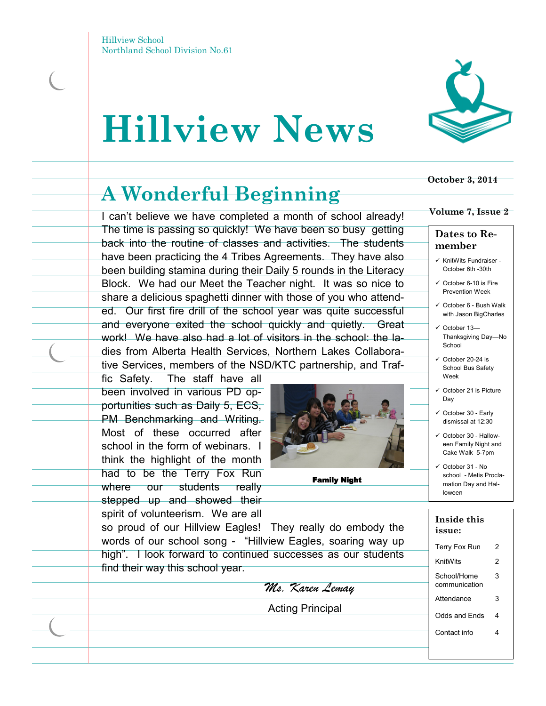# **Hillview News**



### **A Wonderful Beginning**

I can't believe we have completed a month of school already! The time is passing so quickly! We have been so busy getting back into the routine of classes and activities. The students have been practicing the 4 Tribes Agreements. They have also been building stamina during their Daily 5 rounds in the Literacy Block. We had our Meet the Teacher night. It was so nice to share a delicious spaghetti dinner with those of you who attended. Our first fire drill of the school year was quite successful and everyone exited the school quickly and quietly. Great work! We have also had a lot of visitors in the school: the ladies from Alberta Health Services, Northern Lakes Collaborative Services, members of the NSD/KTC partnership, and Traf-

fic Safety. The staff have all been involved in various PD opportunities such as Daily 5, ECS, PM Benchmarking and Writing. Most of these occurred after school in the form of webinars. I think the highlight of the month had to be the Terry Fox Run where our students really stepped up and showed their spirit of volunteerism. We are all



Family Night

### **October 3, 2014**

#### **Volume 7, Issue 2**

#### **Dates to Remember**

- $\checkmark$  KnitWits Fundraiser -October 6th -30th
- $\checkmark$  October 6-10 is Fire Prevention Week
- $\checkmark$  October 6 Bush Walk with Jason BigCharles
- October 13— Thanksgiving Day—No School
- $\checkmark$  October 20-24 is School Bus Safety Week
- October 21 is Picture Day
- October 30 Early dismissal at 12:30
- $\checkmark$  October 30 Halloween Family Night and Cake Walk 5-7pm
- $\checkmark$  October 31 No school - Metis Proclamation Day and Halloween

| Inside this<br>issue:        |   |
|------------------------------|---|
| Terry Fox Run                | 2 |
| KnitWits                     | 2 |
| School/Home<br>communication | 3 |
| Attendance                   | 3 |
| Odds and Fnds                | 4 |
| Contact info                 | 4 |
|                              |   |

so proud of our Hillview Eagles! They really do embody the words of our school song - "Hillview Eagles, soaring way up high". I look forward to continued successes as our students find their way this school year.

*Ms. Karen Lemay*

Acting Principal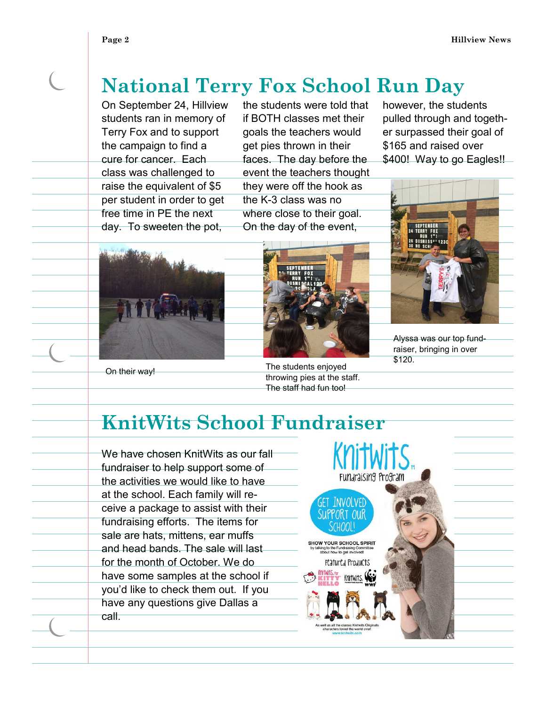## **National Terry Fox School Run Day**

On September 24, Hillview students ran in memory of Terry Fox and to support the campaign to find a cure for cancer. Each class was challenged to raise the equivalent of \$5 per student in order to get free time in PE the next day. To sweeten the pot,

the students were told that if BOTH classes met their goals the teachers would get pies thrown in their faces. The day before the event the teachers thought they were off the hook as the K-3 class was no where close to their goal. On the day of the event,

however, the students pulled through and together surpassed their goal of \$165 and raised over \$400! Way to go Eagles!!



Alyssa was our top fundraiser, bringing in over \$120.





On their way!

The students enjoyed throwing pies at the staff. The staff had fun too!

## **KnitWits School Fundraiser**

We have chosen KnitWits as our fall fundraiser to help support some of the activities we would like to have at the school. Each family will receive a package to assist with their fundraising efforts. The items for sale are hats, mittens, ear muffs and head bands. The sale will last for the month of October. We do have some samples at the school if you'd like to check them out. If you have any questions give Dallas a call.

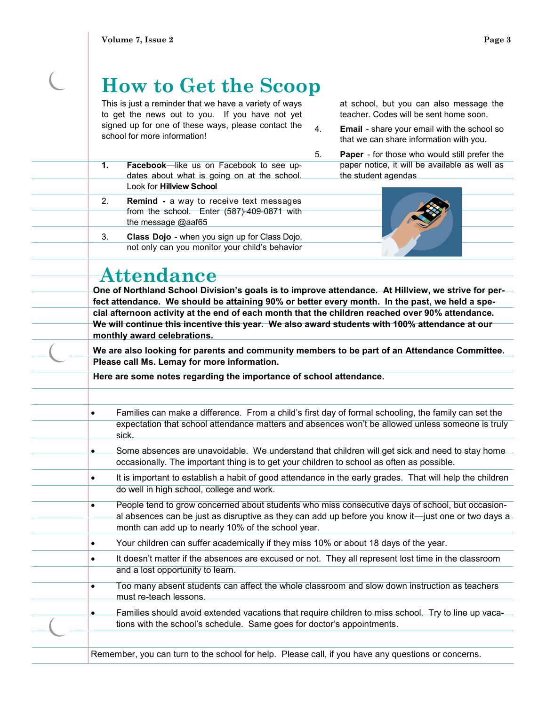# **How to Get the Scoop**

This is just a reminder that we have a variety of ways to get the news out to you. If you have not yet signed up for one of these ways, please contact the school for more information!

- **1. Facebook**—like us on Facebook to see updates about what is going on at the school. Look for **Hillview School**
- 2. **Remind -** a way to receive text messages from the school. Enter (587)-409-0871 with the message @aaf65
- 3. **Class Dojo**  when you sign up for Class Dojo, not only can you monitor your child's behavior

at school, but you can also message the teacher. Codes will be sent home soon.

- 4. **Email**  share your email with the school so that we can share information with you.
- 5. **Paper**  for those who would still prefer the paper notice, it will be available as well as the student agendas



## **Attendance**

**One of Northland School Division's goals is to improve attendance. At Hillview, we strive for perfect attendance. We should be attaining 90% or better every month. In the past, we held a special afternoon activity at the end of each month that the children reached over 90% attendance. We will continue this incentive this year. We also award students with 100% attendance at our monthly award celebrations.** 

**We are also looking for parents and community members to be part of an Attendance Committee. Please call Ms. Lemay for more information.**

**Here are some notes regarding the importance of school attendance.**

- Families can make a difference. From a child's first day of formal schooling, the family can set the expectation that school attendance matters and absences won't be allowed unless someone is truly sick.
- Some absences are unavoidable. We understand that children will get sick and need to stay home occasionally. The important thing is to get your children to school as often as possible.
- It is important to establish a habit of good attendance in the early grades. That will help the children do well in high school, college and work.
- People tend to grow concerned about students who miss consecutive days of school, but occasional absences can be just as disruptive as they can add up before you know it—just one or two days a month can add up to nearly 10% of the school year.
- Your children can suffer academically if they miss 10% or about 18 days of the year.
- It doesn't matter if the absences are excused or not. They all represent lost time in the classroom and a lost opportunity to learn.
	- Too many absent students can affect the whole classroom and slow down instruction as teachers must re-teach lessons.
	- Families should avoid extended vacations that require children to miss school. Try to line up vacations with the school's schedule. Same goes for doctor's appointments.

Remember, you can turn to the school for help. Please call, if you have any questions or concerns.